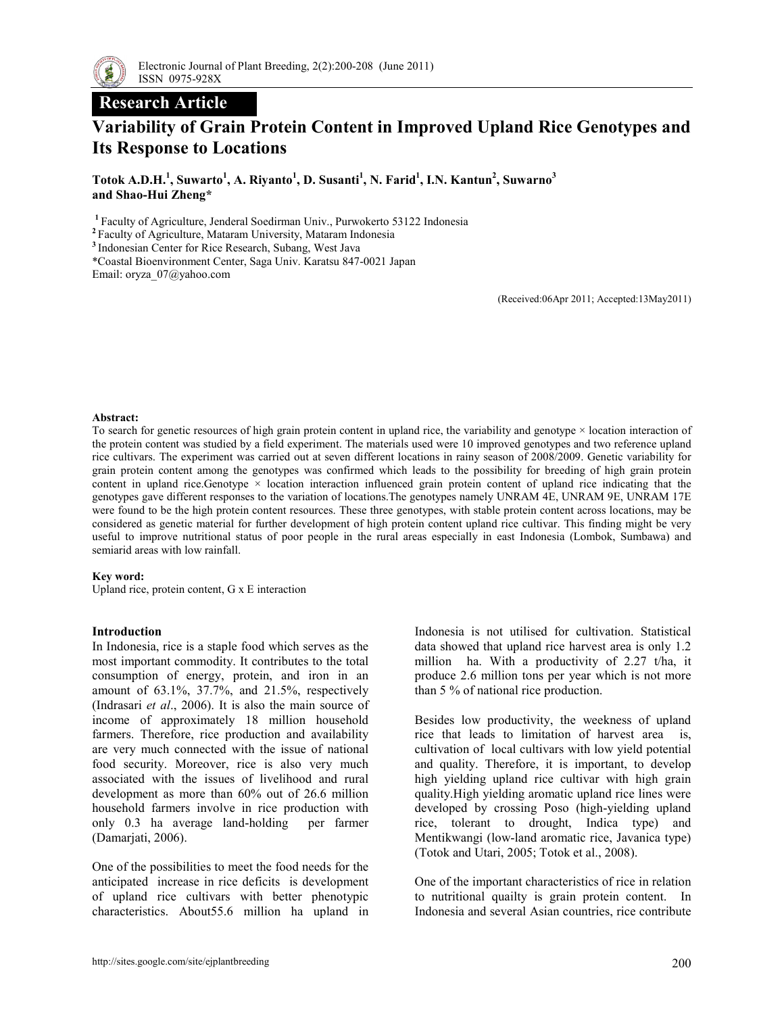

# Research Article

# Variability of Grain Protein Content in Improved Upland Rice Genotypes and Its Response to Locations

Totok A.D.H.<sup>1</sup>, Suwarto<sup>1</sup>, A. Riyanto<sup>1</sup>, D. Susanti<sup>1</sup>, N. Farid<sup>1</sup>, I.N. Kantun<sup>2</sup>, Suwarno<sup>3</sup> and Shao-Hui Zheng\*

<sup>1</sup>Faculty of Agriculture, Jenderal Soedirman Univ., Purwokerto 53122 Indonesia

<sup>2</sup>Faculty of Agriculture, Mataram University, Mataram Indonesia

<sup>3</sup> Indonesian Center for Rice Research, Subang, West Java

\*Coastal Bioenvironment Center, Saga Univ. Karatsu 847-0021 Japan

Email: oryza\_07@yahoo.com

(Received:06Apr 2011; Accepted:13May2011)

#### Abstract:

To search for genetic resources of high grain protein content in upland rice, the variability and genotype × location interaction of the protein content was studied by a field experiment. The materials used were 10 improved genotypes and two reference upland rice cultivars. The experiment was carried out at seven different locations in rainy season of 2008/2009. Genetic variability for grain protein content among the genotypes was confirmed which leads to the possibility for breeding of high grain protein content in upland rice.Genotype  $\times$  location interaction influenced grain protein content of upland rice indicating that the genotypes gave different responses to the variation of locations.The genotypes namely UNRAM 4E, UNRAM 9E, UNRAM 17E were found to be the high protein content resources. These three genotypes, with stable protein content across locations, may be considered as genetic material for further development of high protein content upland rice cultivar. This finding might be very useful to improve nutritional status of poor people in the rural areas especially in east Indonesia (Lombok, Sumbawa) and semiarid areas with low rainfall.

#### Key word:

Upland rice, protein content, G x E interaction

#### Introduction

In Indonesia, rice is a staple food which serves as the most important commodity. It contributes to the total consumption of energy, protein, and iron in an amount of 63.1%, 37.7%, and 21.5%, respectively (Indrasari et al., 2006). It is also the main source of income of approximately 18 million household farmers. Therefore, rice production and availability are very much connected with the issue of national food security. Moreover, rice is also very much associated with the issues of livelihood and rural development as more than 60% out of 26.6 million household farmers involve in rice production with only 0.3 ha average land-holding per farmer (Damarjati, 2006).

One of the possibilities to meet the food needs for the anticipated increase in rice deficits is development of upland rice cultivars with better phenotypic characteristics. About55.6 million ha upland in

Indonesia is not utilised for cultivation. Statistical data showed that upland rice harvest area is only 1.2 million ha. With a productivity of 2.27 t/ha, it produce 2.6 million tons per year which is not more than 5 % of national rice production.

Besides low productivity, the weekness of upland rice that leads to limitation of harvest area is, cultivation of local cultivars with low yield potential and quality. Therefore, it is important, to develop high yielding upland rice cultivar with high grain quality.High yielding aromatic upland rice lines were developed by crossing Poso (high-yielding upland rice, tolerant to drought, Indica type) and Mentikwangi (low-land aromatic rice, Javanica type) (Totok and Utari, 2005; Totok et al., 2008).

One of the important characteristics of rice in relation to nutritional quailty is grain protein content. In Indonesia and several Asian countries, rice contribute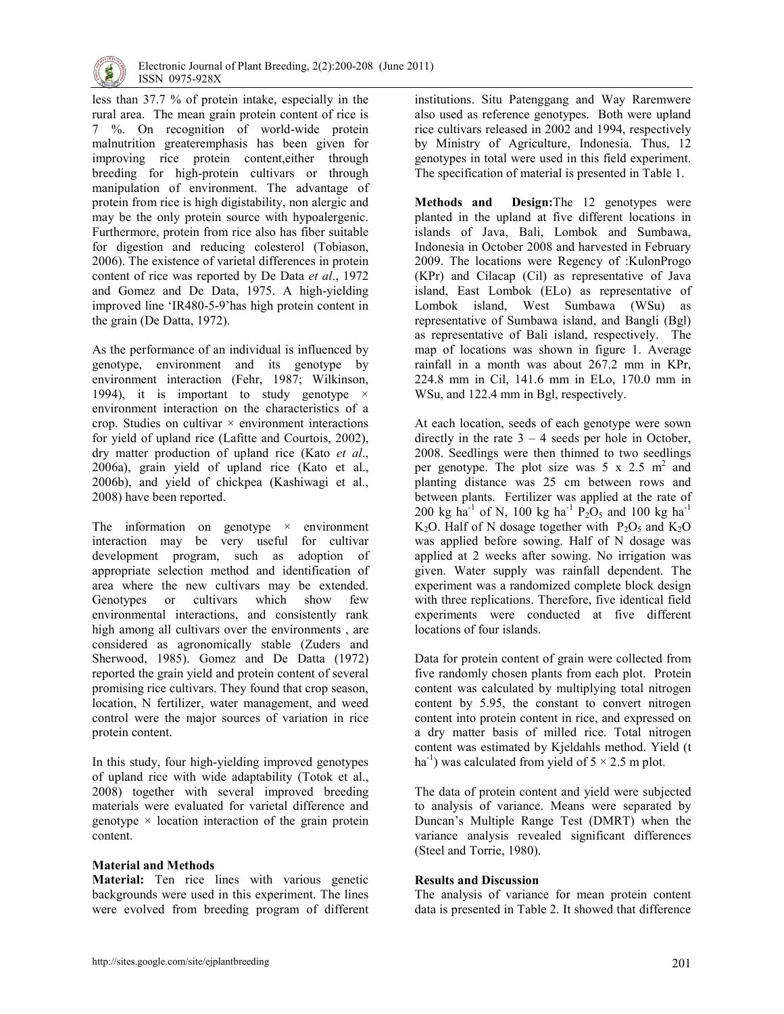

less than 37.7 % of protein intake, especially in the rural area. The mean grain protein content of rice is 7 %. On recognition of world-wide protein malnutrition greateremphasis has been given for improving rice protein content,either through breeding for high-protein cultivars or through manipulation of environment. The advantage of protein from rice is high digistability, non alergic and may be the only protein source with hypoalergenic. Furthermore, protein from rice also has fiber suitable for digestion and reducing colesterol (Tobiason, 2006). The existence of varietal differences in protein content of rice was reported by De Data et al., 1972 and Gomez and De Data, 1975. A high-yielding improved line 'IR480-5-9'has high protein content in the grain (De Datta, 1972).

As the performance of an individual is influenced by genotype, environment and its genotype by environment interaction (Fehr, 1987; Wilkinson, 1994), it is important to study genotype  $\times$ environment interaction on the characteristics of a crop. Studies on cultivar  $\times$  environment interactions for yield of upland rice (Lafitte and Courtois, 2002), dry matter production of upland rice (Kato et al., 2006a), grain yield of upland rice (Kato et al., 2006b), and yield of chickpea (Kashiwagi et al., 2008) have been reported.

The information on genotype  $\times$  environment interaction may be very useful for cultivar development program, such as adoption of appropriate selection method and identification of area where the new cultivars may be extended.<br>Genotypes or cultivars which show few Genotypes or cultivars which show few environmental interactions, and consistently rank high among all cultivars over the environments , are considered as agronomically stable (Zuders and Sherwood, 1985). Gomez and De Datta (1972) reported the grain yield and protein content of several promising rice cultivars. They found that crop season, location, N fertilizer, water management, and weed control were the major sources of variation in rice protein content.

In this study, four high-yielding improved genotypes of upland rice with wide adaptability (Totok et al., 2008) together with several improved breeding materials were evaluated for varietal difference and genotype  $\times$  location interaction of the grain protein content.

## Material and Methods

Material: Ten rice lines with various genetic backgrounds were used in this experiment. The lines were evolved from breeding program of different institutions. Situ Patenggang and Way Raremwere also used as reference genotypes. Both were upland rice cultivars released in 2002 and 1994, respectively by Ministry of Agriculture, Indonesia. Thus, 12 genotypes in total were used in this field experiment. The specification of material is presented in Table 1.

Methods and Design:The 12 genotypes were planted in the upland at five different locations in islands of Java, Bali, Lombok and Sumbawa, Indonesia in October 2008 and harvested in February 2009. The locations were Regency of :KulonProgo (KPr) and Cilacap (Cil) as representative of Java island, East Lombok (ELo) as representative of Lombok island, West Sumbawa (WSu) as representative of Sumbawa island, and Bangli (Bgl) as representative of Bali island, respectively. The map of locations was shown in figure 1. Average rainfall in a month was about 267.2 mm in KPr, 224.8 mm in Cil, 141.6 mm in ELo, 170.0 mm in WSu, and 122.4 mm in Bgl, respectively.

At each location, seeds of each genotype were sown directly in the rate  $3 - 4$  seeds per hole in October, 2008. Seedlings were then thinned to two seedlings per genotype. The plot size was  $5 \times 2.5$  m<sup>2</sup> and planting distance was 25 cm between rows and between plants. Fertilizer was applied at the rate of 200 kg ha<sup>-1</sup> of N, 100 kg ha<sup>-1</sup> P<sub>2</sub>O<sub>5</sub> and 100 kg ha<sup>-1</sup>  $K_2O$ . Half of N dosage together with  $P_2O_5$  and  $K_2O$ was applied before sowing. Half of N dosage was applied at 2 weeks after sowing. No irrigation was given. Water supply was rainfall dependent. The experiment was a randomized complete block design with three replications. Therefore, five identical field experiments were conducted at five different locations of four islands.

Data for protein content of grain were collected from five randomly chosen plants from each plot. Protein content was calculated by multiplying total nitrogen content by 5.95, the constant to convert nitrogen content into protein content in rice, and expressed on a dry matter basis of milled rice. Total nitrogen content was estimated by Kjeldahls method. Yield (t ha<sup>-1</sup>) was calculated from yield of  $5 \times 2.5$  m plot.

The data of protein content and yield were subjected to analysis of variance. Means were separated by Duncan's Multiple Range Test (DMRT) when the variance analysis revealed significant differences (Steel and Torrie, 1980).

## Results and Discussion

The analysis of variance for mean protein content data is presented in Table 2. It showed that difference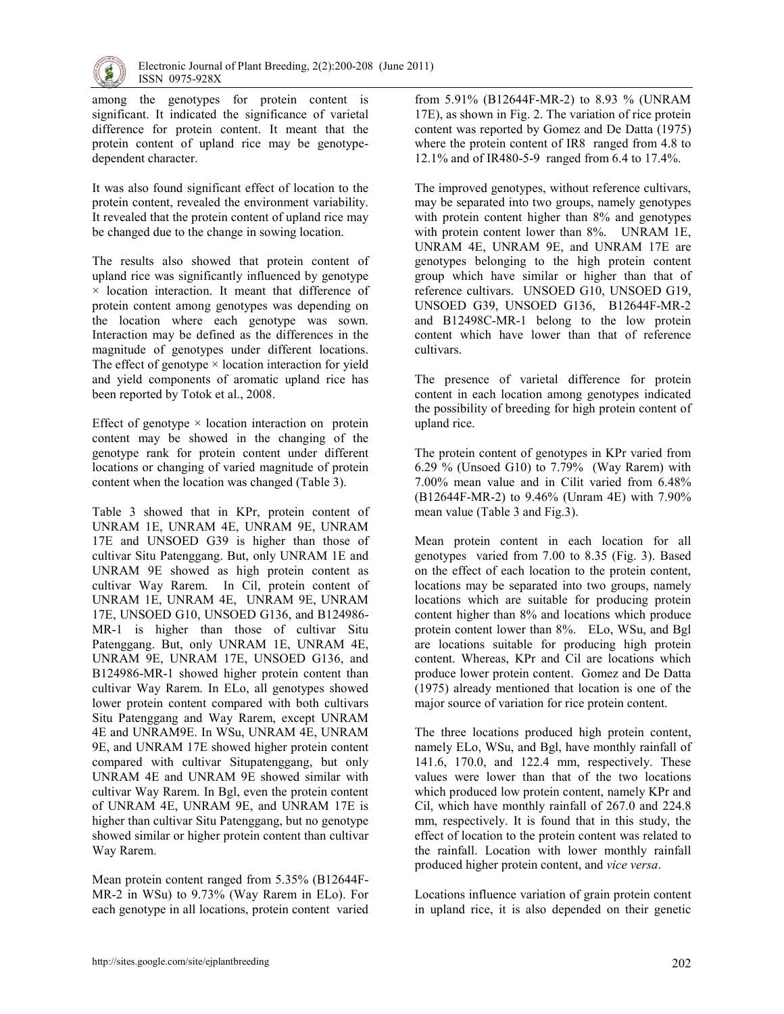

among the genotypes for protein content is significant. It indicated the significance of varietal difference for protein content. It meant that the protein content of upland rice may be genotypedependent character.

It was also found significant effect of location to the protein content, revealed the environment variability. It revealed that the protein content of upland rice may be changed due to the change in sowing location.

The results also showed that protein content of upland rice was significantly influenced by genotype  $\times$  location interaction. It meant that difference of protein content among genotypes was depending on the location where each genotype was sown. Interaction may be defined as the differences in the magnitude of genotypes under different locations. The effect of genotype  $\times$  location interaction for yield and yield components of aromatic upland rice has been reported by Totok et al., 2008.

Effect of genotype  $\times$  location interaction on protein content may be showed in the changing of the genotype rank for protein content under different locations or changing of varied magnitude of protein content when the location was changed (Table 3).

Table 3 showed that in KPr, protein content of UNRAM 1E, UNRAM 4E, UNRAM 9E, UNRAM 17E and UNSOED G39 is higher than those of cultivar Situ Patenggang. But, only UNRAM 1E and UNRAM 9E showed as high protein content as cultivar Way Rarem. In Cil, protein content of UNRAM 1E, UNRAM 4E, UNRAM 9E, UNRAM 17E, UNSOED G10, UNSOED G136, and B124986- MR-1 is higher than those of cultivar Situ Patenggang. But, only UNRAM 1E, UNRAM 4E, UNRAM 9E, UNRAM 17E, UNSOED G136, and B124986-MR-1 showed higher protein content than cultivar Way Rarem. In ELo, all genotypes showed lower protein content compared with both cultivars Situ Patenggang and Way Rarem, except UNRAM 4E and UNRAM9E. In WSu, UNRAM 4E, UNRAM 9E, and UNRAM 17E showed higher protein content compared with cultivar Situpatenggang, but only UNRAM 4E and UNRAM 9E showed similar with cultivar Way Rarem. In Bgl, even the protein content of UNRAM 4E, UNRAM 9E, and UNRAM 17E is higher than cultivar Situ Patenggang, but no genotype showed similar or higher protein content than cultivar Way Rarem.

Mean protein content ranged from 5.35% (B12644F-MR-2 in WSu) to 9.73% (Way Rarem in ELo). For each genotype in all locations, protein content varied from 5.91% (B12644F-MR-2) to 8.93 % (UNRAM 17E), as shown in Fig. 2. The variation of rice protein content was reported by Gomez and De Datta (1975) where the protein content of IR8 ranged from 4.8 to 12.1% and of IR480-5-9 ranged from 6.4 to 17.4%.

The improved genotypes, without reference cultivars, may be separated into two groups, namely genotypes with protein content higher than 8% and genotypes with protein content lower than 8%. UNRAM 1E, UNRAM 4E, UNRAM 9E, and UNRAM 17E are genotypes belonging to the high protein content group which have similar or higher than that of reference cultivars. UNSOED G10, UNSOED G19, UNSOED G39, UNSOED G136, B12644F-MR-2 and B12498C-MR-1 belong to the low protein content which have lower than that of reference cultivars.

The presence of varietal difference for protein content in each location among genotypes indicated the possibility of breeding for high protein content of upland rice.

The protein content of genotypes in KPr varied from 6.29 % (Unsoed G10) to 7.79% (Way Rarem) with 7.00% mean value and in Cilit varied from 6.48% (B12644F-MR-2) to 9.46% (Unram 4E) with 7.90% mean value (Table 3 and Fig.3).

Mean protein content in each location for all genotypes varied from 7.00 to 8.35 (Fig. 3). Based on the effect of each location to the protein content, locations may be separated into two groups, namely locations which are suitable for producing protein content higher than 8% and locations which produce protein content lower than 8%. ELo, WSu, and Bgl are locations suitable for producing high protein content. Whereas, KPr and Cil are locations which produce lower protein content. Gomez and De Datta (1975) already mentioned that location is one of the major source of variation for rice protein content.

The three locations produced high protein content, namely ELo, WSu, and Bgl, have monthly rainfall of 141.6, 170.0, and 122.4 mm, respectively. These values were lower than that of the two locations which produced low protein content, namely KPr and Cil, which have monthly rainfall of 267.0 and 224.8 mm, respectively. It is found that in this study, the effect of location to the protein content was related to the rainfall. Location with lower monthly rainfall produced higher protein content, and vice versa.

Locations influence variation of grain protein content in upland rice, it is also depended on their genetic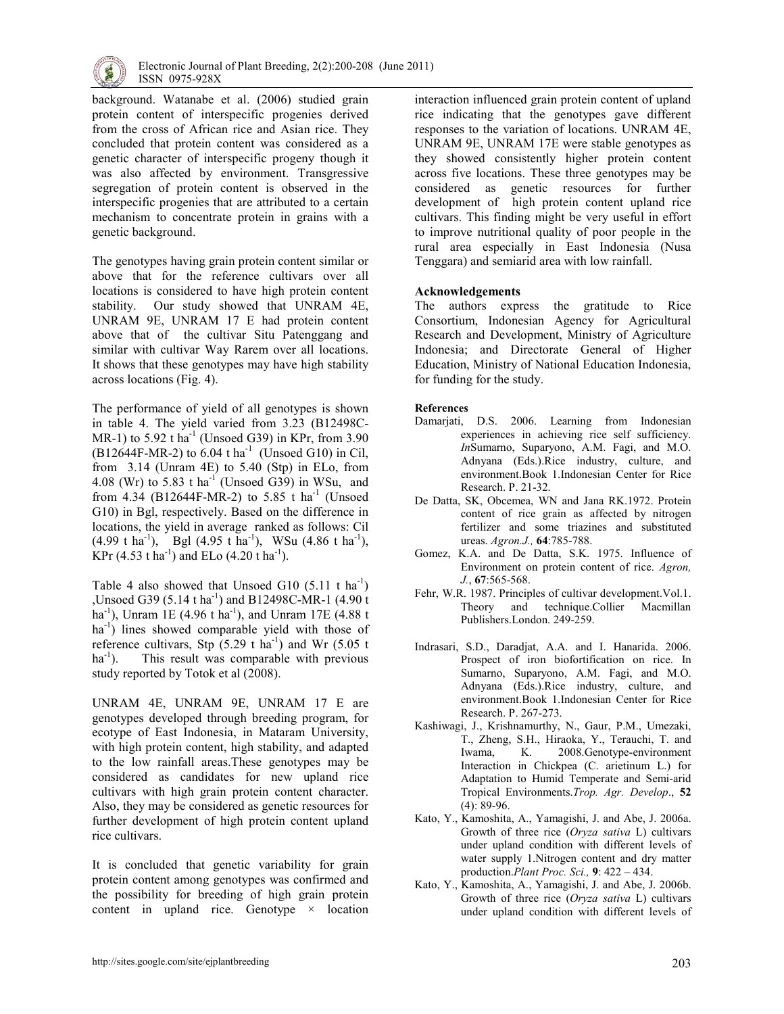

background. Watanabe et al. (2006) studied grain protein content of interspecific progenies derived from the cross of African rice and Asian rice. They concluded that protein content was considered as a genetic character of interspecific progeny though it was also affected by environment. Transgressive segregation of protein content is observed in the interspecific progenies that are attributed to a certain mechanism to concentrate protein in grains with a genetic background.

The genotypes having grain protein content similar or above that for the reference cultivars over all locations is considered to have high protein content stability. Our study showed that UNRAM 4E, UNRAM 9E, UNRAM 17 E had protein content above that of the cultivar Situ Patenggang and similar with cultivar Way Rarem over all locations. It shows that these genotypes may have high stability across locations (Fig. 4).

The performance of yield of all genotypes is shown in table 4. The yield varied from 3.23 (B12498C-MR-1) to 5.92 t ha<sup>-1</sup> (Unsoed G39) in KPr, from  $3.90$  $(B12644F-MR-2)$  to 6.04 t ha<sup>-1</sup> (Unsoed G10) in Cil, from  $3.14$  (Unram 4E) to  $5.40$  (Stp) in ELo, from 4.08 (Wr) to 5.83 t ha<sup>-1</sup> (Unsoed G39) in WSu, and from 4.34 (B12644F-MR-2) to 5.85 t ha<sup>-1</sup> (Unsoed G10) in Bgl, respectively. Based on the difference in locations, the yield in average ranked as follows: Cil  $(4.99 \text{ t} \text{ ha}^{-1})$ , Bgl  $(4.95 \text{ t} \text{ ha}^{-1})$ , WSu  $(4.86 \text{ t} \text{ ha}^{-1})$ , KPr  $(4.53 \text{ tha}^{-1})$  and ELo  $(4.20 \text{ tha}^{-1})$ .

Table 4 also showed that Unsoed G10  $(5.11 \text{ t} \text{ ha}^{-1})$ ,Unsoed G39 (5.14 t ha<sup>-1</sup>) and B12498C-MR-1 (4.90 t) ha<sup>-1</sup>), Unram 1E (4.96 t ha<sup>-1</sup>), and Unram 17E (4.88 t  $ha^{-1}$ ) lines showed comparable yield with those of reference cultivars, Stp  $(5.29 \text{ t} \text{ ha}^{-1})$  and Wr  $(5.05 \text{ t} \text{ h})$  $ha^{-1}$ ). This result was comparable with previous study reported by Totok et al (2008).

UNRAM 4E, UNRAM 9E, UNRAM 17 E are genotypes developed through breeding program, for ecotype of East Indonesia, in Mataram University, with high protein content, high stability, and adapted to the low rainfall areas.These genotypes may be considered as candidates for new upland rice cultivars with high grain protein content character. Also, they may be considered as genetic resources for further development of high protein content upland rice cultivars.

It is concluded that genetic variability for grain protein content among genotypes was confirmed and the possibility for breeding of high grain protein content in upland rice. Genotype  $\times$  location interaction influenced grain protein content of upland rice indicating that the genotypes gave different responses to the variation of locations. UNRAM 4E, UNRAM 9E, UNRAM 17E were stable genotypes as they showed consistently higher protein content across five locations. These three genotypes may be considered as genetic resources for further development of high protein content upland rice cultivars. This finding might be very useful in effort to improve nutritional quality of poor people in the rural area especially in East Indonesia (Nusa Tenggara) and semiarid area with low rainfall.

## Acknowledgements

The authors express the gratitude to Rice Consortium, Indonesian Agency for Agricultural Research and Development, Ministry of Agriculture Indonesia; and Directorate General of Higher Education, Ministry of National Education Indonesia, for funding for the study.

#### References

- Damarjati, D.S. 2006. Learning from Indonesian experiences in achieving rice self sufficiency. InSumarno, Suparyono, A.M. Fagi, and M.O. Adnyana (Eds.).Rice industry, culture, and environment.Book 1.Indonesian Center for Rice Research. P. 21-32.
- De Datta, SK, Obcemea, WN and Jana RK.1972. Protein content of rice grain as affected by nitrogen fertilizer and some triazines and substituted ureas. Agron.J., 64:785-788.
- Gomez, K.A. and De Datta, S.K. 1975. Influence of Environment on protein content of rice. Agron, J., 67:565-568.
- Fehr, W.R. 1987. Principles of cultivar development.Vol.1. Theory and technique.Collier Macmillan Publishers.London. 249-259.
- Indrasari, S.D., Daradjat, A.A. and I. Hanarida. 2006. Prospect of iron biofortification on rice. In Sumarno, Suparyono, A.M. Fagi, and M.O. Adnyana (Eds.).Rice industry, culture, and environment.Book 1.Indonesian Center for Rice Research. P. 267-273.
- Kashiwagi, J., Krishnamurthy, N., Gaur, P.M., Umezaki, T., Zheng, S.H., Hiraoka, Y., Terauchi, T. and Iwama, K. 2008.Genotype-environment Interaction in Chickpea (C. arietinum L.) for Adaptation to Humid Temperate and Semi-arid Tropical Environments.Trop. Agr. Develop., 52 (4): 89-96.
- Kato, Y., Kamoshita, A., Yamagishi, J. and Abe, J. 2006a. Growth of three rice (Oryza sativa L) cultivars under upland condition with different levels of water supply 1.Nitrogen content and dry matter production.Plant Proc. Sci., 9: 422 – 434.
- Kato, Y., Kamoshita, A., Yamagishi, J. and Abe, J. 2006b. Growth of three rice (Oryza sativa L) cultivars under upland condition with different levels of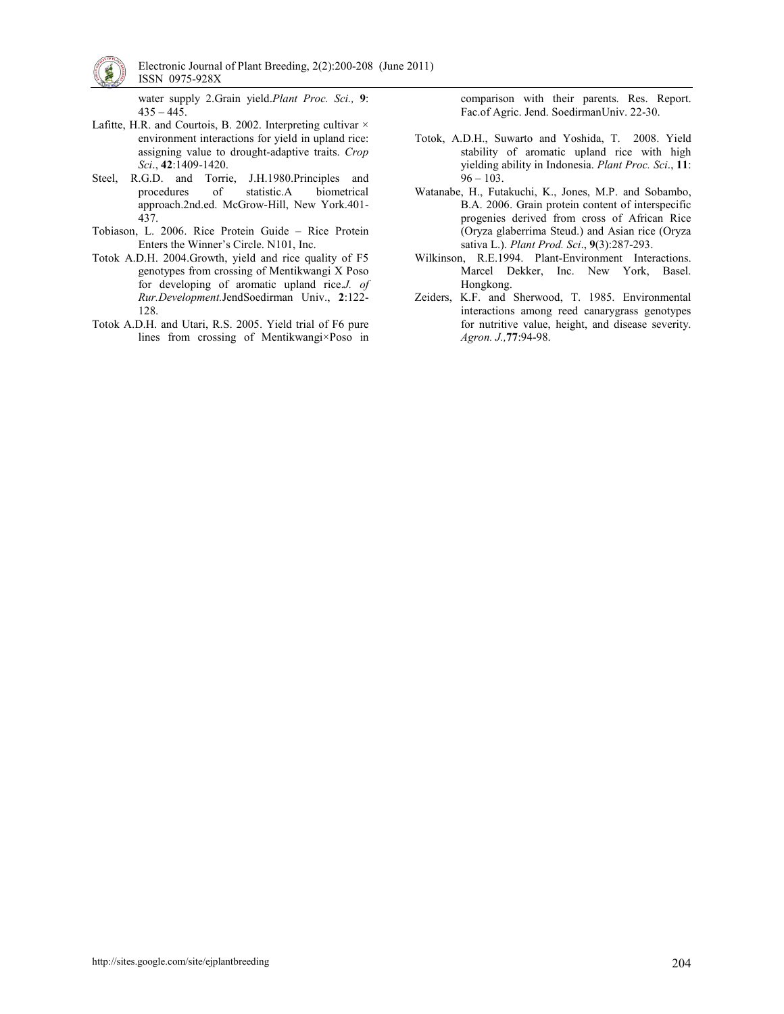

 Electronic Journal of Plant Breeding, 2(2):200-208 (June 2011) ISSN 0975-928X

water supply 2.Grain yield.Plant Proc. Sci., 9:  $435 - 445$ .

- Lafitte, H.R. and Courtois, B. 2002. Interpreting cultivar  $\times$ environment interactions for yield in upland rice: assigning value to drought-adaptive traits. Crop Sci., 42:1409-1420.
- Steel, R.G.D. and Torrie, J.H.1980.Principles and procedures of statistic.A biometrical approach.2nd.ed. McGrow-Hill, New York.401- 437.
- Tobiason, L. 2006. Rice Protein Guide Rice Protein Enters the Winner's Circle. N101, Inc.
- Totok A.D.H. 2004.Growth, yield and rice quality of F5 genotypes from crossing of Mentikwangi X Poso for developing of aromatic upland rice.J. of Rur.Development.JendSoedirman Univ., 2:122- 128.
- Totok A.D.H. and Utari, R.S. 2005. Yield trial of F6 pure lines from crossing of Mentikwangi×Poso in

comparison with their parents. Res. Report. Fac.of Agric. Jend. SoedirmanUniv. 22-30.

- Totok, A.D.H., Suwarto and Yoshida, T. 2008. Yield stability of aromatic upland rice with high yielding ability in Indonesia. Plant Proc. Sci., 11:  $96 - 103$ .
- Watanabe, H., Futakuchi, K., Jones, M.P. and Sobambo, B.A. 2006. Grain protein content of interspecific progenies derived from cross of African Rice (Oryza glaberrima Steud.) and Asian rice (Oryza sativa L.). Plant Prod. Sci., 9(3):287-293.
- Wilkinson, R.E.1994. Plant-Environment Interactions. Marcel Dekker, Inc. New York, Basel. Hongkong.
- Zeiders, K.F. and Sherwood, T. 1985. Environmental interactions among reed canarygrass genotypes for nutritive value, height, and disease severity. Agron. J.,77:94-98.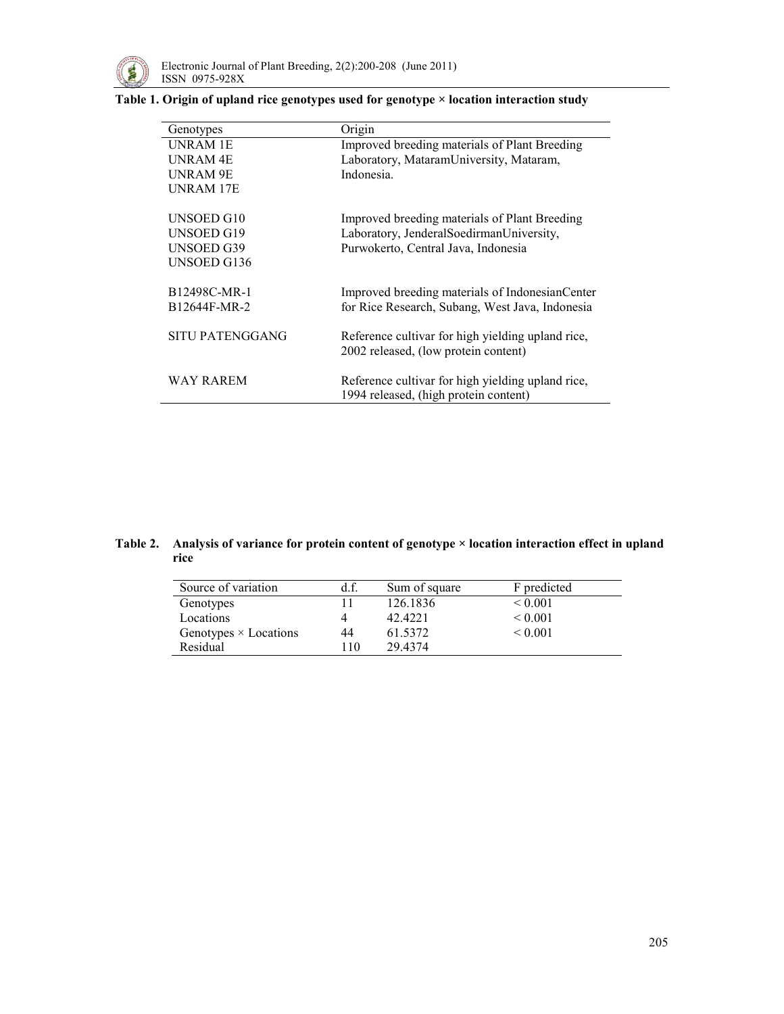

## Table 1. Origin of upland rice genotypes used for genotype × location interaction study

| Genotypes                | Origin                                                                                     |
|--------------------------|--------------------------------------------------------------------------------------------|
| <b>UNRAM 1E</b>          | Improved breeding materials of Plant Breeding                                              |
| <b>UNRAM4E</b>           | Laboratory, MataramUniversity, Mataram,                                                    |
| UNRAM 9E                 | Indonesia                                                                                  |
| UNRAM 17E                |                                                                                            |
| UNSOED G10               | Improved breeding materials of Plant Breeding                                              |
| UNSOED G19               | Laboratory, JenderalSoedirmanUniversity,                                                   |
| <b>UNSOED G39</b>        | Purwokerto, Central Java, Indonesia                                                        |
| <b>UNSOED G136</b>       |                                                                                            |
| B12498C-MR-1             | Improved breeding materials of Indonesian Center                                           |
| B <sub>12644F-MR-2</sub> | for Rice Research, Subang, West Java, Indonesia                                            |
| SITU PATENGGANG          | Reference cultivar for high yielding upland rice,<br>2002 released, (low protein content)  |
| WAY RAREM                | Reference cultivar for high yielding upland rice,<br>1994 released, (high protein content) |

## Table 2. Analysis of variance for protein content of genotype × location interaction effect in upland rice

| Source of variation          | d.f. | Sum of square | F predicted  |
|------------------------------|------|---------------|--------------|
| Genotypes                    |      | 126.1836      | ${}_{0.001}$ |
| Locations                    | 4    | 42 4 2 2 1    | ${}_{0.001}$ |
| Genotypes $\times$ Locations | 44   | 61.5372       | ${}< 0.001$  |
| Residual                     | 10   | 29 4374       |              |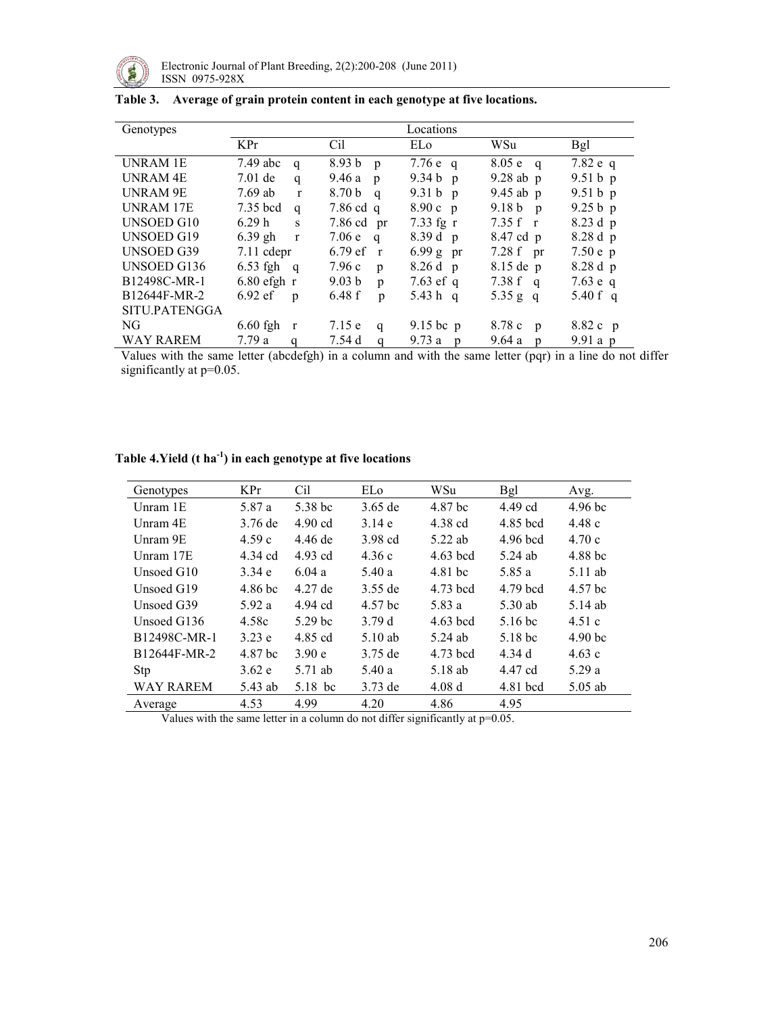

| Genotypes        | Locations                         |                         |                       |                         |            |  |
|------------------|-----------------------------------|-------------------------|-----------------------|-------------------------|------------|--|
|                  | KPr                               | Cil                     | EL <sub>0</sub>       | WSu                     | <b>Bgl</b> |  |
| UNRAM 1E         | 7.49 abc<br>q                     | $8.93 b$ p              | 7.76 $e$ q            | $8.05 e \quad q$        | 7.82 e q   |  |
| UNRAM 4E         | $7.01$ de<br>q                    | 9.46a<br>$\mathbf{p}$   | 9.34 $b$ p            | $9.28$ ab p             | $9.51 b$ p |  |
| UNRAM 9E         | $7.69$ ab<br>$\mathbf{r}$         | 8.70 b<br>$\mathbf{q}$  | 9.31 $b$ p            | $9.45$ ab p             | $9.51 b$ p |  |
| <b>UNRAM 17E</b> | 7.35 bcd<br>$\mathbf{q}$          | $7.86$ cd q             | $8.90c$ p             | 9.18 b p                | 9.25 b p   |  |
| UNSOED G10       | 6.29h<br>S                        | $7.86$ cd pr            | $7.33$ fg r           | 7.35 f r                | 8.23 d p   |  |
| UNSOED G19       | $6.39$ gh<br>$\mathbf{r}$         | 7.06 $e$ q              | 8.39d p               | 8.47 cd p               | $8.28d$ p  |  |
| UNSOED G39       | $7.11$ cdepr                      | $6.79 \text{ ef}$<br>r  | $6.99 g$ pr           | $7.28 f$ pr             | $7.50e$ p  |  |
| UNSOED G136      | $6.53$ fgh<br>$\mathbf{q}$        | 7.96c<br>p              | $8.26d$ p             | 8.15 de p               | 8.28 d p   |  |
| B12498C-MR-1     | $6.80$ efgh r                     | 9.03 <sub>b</sub><br>p  | 7.63 ef q             | 7.38 f q                | 7.63 e q   |  |
| B12644F-MR-2     | $6.92 \text{ ef}$<br>$\mathbf{D}$ | 6.48f<br>$\mathfrak{p}$ | 5.43 h q              | 5.35 g q                | 5.40 f q   |  |
| SITU.PATENGGA    |                                   |                         |                       |                         |            |  |
| NG.              | $6.60$ fgh<br>$\mathbf{r}$        | 7.15 e<br>q             | $9.15$ bc p           | 8.78 c<br>$\mathbf{p}$  | 8.82 c p   |  |
| <b>WAY RAREM</b> | 7.79a<br>$\mathbf q$              | 7.54 d<br>$\mathbf q$   | 9.73a<br>$\mathbf{p}$ | 9.64a<br>$\mathfrak{p}$ | $9.91a$ p  |  |

## Table 3. Average of grain protein content in each genotype at five locations.

Values with the same letter (abcdefgh) in a column and with the same letter (pqr) in a line do not differ significantly at  $p=0.05$ .

| Genotypes        | KPr     | Cil                | ELo       | WSu        | Bgl      | Avg.               |
|------------------|---------|--------------------|-----------|------------|----------|--------------------|
| Unram 1E         | 5.87 a  | 5.38 bc            | $3.65$ de | 4.87 bc    | 4.49 cd  | 4.96 <sub>bc</sub> |
| Unram 4E         | 3.76 de | $4.90$ cd          | 3.14e     | 4.38 cd    | 4.85 bcd | 4.48c              |
| Unram 9E         | 4.59c   | 4.46 de            | 3.98 cd   | 5.22 ab    | 4.96 bcd | 4.70c              |
| Unram 17E        | 4.34 cd | 4.93 cd            | 4.36c     | $4.63$ bcd | 5.24 ab  | 4.88 bc            |
| Unsoed G10       | 3.34e   | 6.04a              | 5.40 a    | 4.81 bc    | 5.85 a   | 5.11 ab            |
| Unsoed G19       | 4.86 bc | 4.27 de            | 3.55 de   | 4.73 bcd   | 4.79 bcd | 4.57 bc            |
| Unsoed G39       | 5.92a   | 4.94 cd            | 4.57 bc   | 5.83 a     | 5.30 ab  | 5.14 ab            |
| Unsoed G136      | 4.58c   | 5.29 <sub>bc</sub> | 3.79d     | $4.63$ bcd | 5.16 bc  | 4.51c              |
| B12498C-MR-1     | 3.23 e  | 4.85 cd            | $5.10$ ab | 5.24 ab    | 5.18 bc  | 4.90 <sub>bc</sub> |
| B12644F-MR-2     | 4.87 bc | 3.90 e             | 3.75 de   | 4.73 bcd   | 4.34 d   | 4.63c              |
| Stp              | 3.62 e  | 5.71 ab            | 5.40a     | 5.18 ab    | 4.47 cd  | 5.29 a             |
| <b>WAY RAREM</b> | 5.43 ab | 5.18 bc            | 3.73 de   | 4.08d      | 4.81 bcd | $5.05$ ab          |
| Average          | 4.53    | 4.99               | 4.20      | 4.86       | 4.95     |                    |

# Table 4. Yield  $(t \ ha^{-1})$  in each genotype at five locations

Values with the same letter in a column do not differ significantly at p=0.05.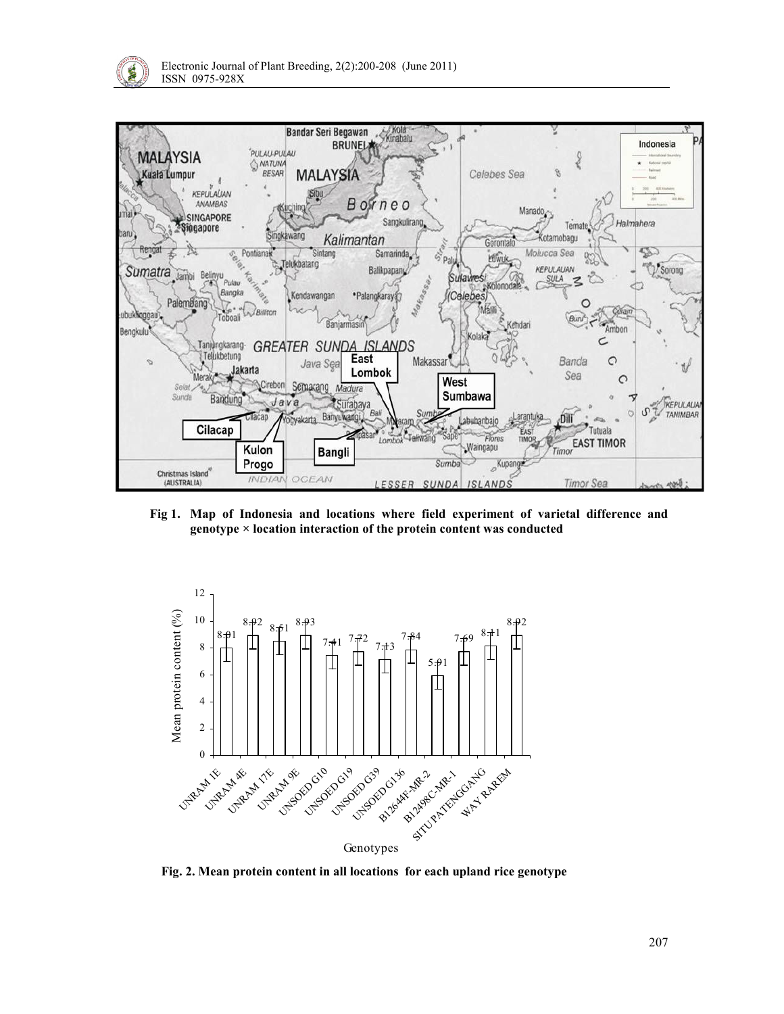



Fig 1. Map of Indonesia and locations where field experiment of varietal difference and genotype × location interaction of the protein content was conducted



Fig. 2. Mean protein content in all locations for each upland rice genotype